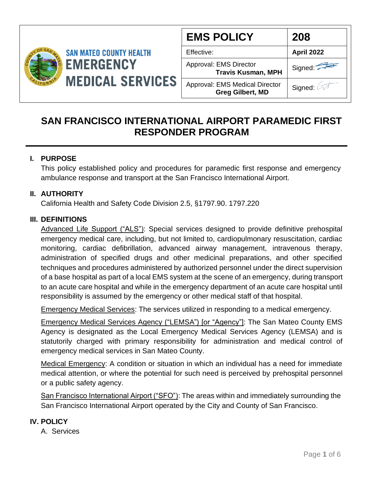

| <b>EMS POLICY</b>                                                | 208               |
|------------------------------------------------------------------|-------------------|
| Effective:                                                       | <b>April 2022</b> |
| Approval: EMS Director<br><b>Travis Kusman, MPH</b>              | Signed:           |
| <b>Approval: EMS Medical Director</b><br><b>Greg Gilbert, MD</b> | Signed:           |

# **SAN FRANCISCO INTERNATIONAL AIRPORT PARAMEDIC FIRST RESPONDER PROGRAM**

## **I. PURPOSE**

This policy established policy and procedures for paramedic first response and emergency ambulance response and transport at the San Francisco International Airport.

### **II. AUTHORITY**

California Health and Safety Code Division 2.5, §1797.90. 1797.220

### **III. DEFINITIONS**

Advanced Life Support ("ALS"): Special services designed to provide definitive prehospital emergency medical care, including, but not limited to, cardiopulmonary resuscitation, cardiac monitoring, cardiac defibrillation, advanced airway management, intravenous therapy, administration of specified drugs and other medicinal preparations, and other specified techniques and procedures administered by authorized personnel under the direct supervision of a base hospital as part of a local EMS system at the scene of an emergency, during transport to an acute care hospital and while in the emergency department of an acute care hospital until responsibility is assumed by the emergency or other medical staff of that hospital.

Emergency Medical Services: The services utilized in responding to a medical emergency.

Emergency Medical Services Agency ("LEMSA") [or "Agency"]: The San Mateo County EMS Agency is designated as the Local Emergency Medical Services Agency (LEMSA) and is statutorily charged with primary responsibility for administration and medical control of emergency medical services in San Mateo County.

Medical Emergency: A condition or situation in which an individual has a need for immediate medical attention, or where the potential for such need is perceived by prehospital personnel or a public safety agency.

San Francisco International Airport ("SFO"): The areas within and immediately surrounding the San Francisco International Airport operated by the City and County of San Francisco.

### **IV. POLICY**

A. Services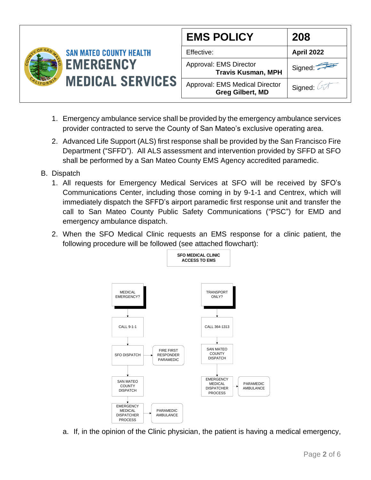

- 1. Emergency ambulance service shall be provided by the emergency ambulance services provider contracted to serve the County of San Mateo's exclusive operating area.
- 2. Advanced Life Support (ALS) first response shall be provided by the San Francisco Fire Department ("SFFD"). All ALS assessment and intervention provided by SFFD at SFO shall be performed by a San Mateo County EMS Agency accredited paramedic.
- B. Dispatch
	- 1. All requests for Emergency Medical Services at SFO will be received by SFO's Communications Center, including those coming in by 9-1-1 and Centrex, which will immediately dispatch the SFFD's airport paramedic first response unit and transfer the call to San Mateo County Public Safety Communications ("PSC") for EMD and emergency ambulance dispatch.
	- 2. When the SFO Medical Clinic requests an EMS response for a clinic patient, the following procedure will be followed (see attached flowchart):



a. If, in the opinion of the Clinic physician, the patient is having a medical emergency,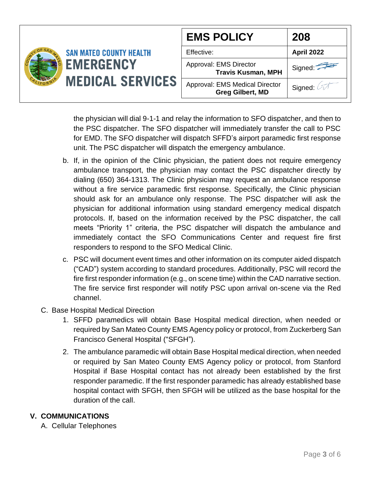|                                                                               |                                                           | <b>EMS POLICY</b>                                   | 208                              |
|-------------------------------------------------------------------------------|-----------------------------------------------------------|-----------------------------------------------------|----------------------------------|
| <b>SAN MATEO COUNTY HEALTH</b><br><b>EMERGENCY</b><br><b>MEDICAL SERVICES</b> |                                                           | Effective:                                          | <b>April 2022</b>                |
|                                                                               |                                                           | Approval: EMS Director<br><b>Travis Kusman, MPH</b> | Signed: $\overline{\phantom{a}}$ |
|                                                                               | Approval: EMS Medical Director<br><b>Greg Gilbert, MD</b> | Signed: $\sqrt{2}$                                  |                                  |

the physician will dial 9-1-1 and relay the information to SFO dispatcher, and then to the PSC dispatcher. The SFO dispatcher will immediately transfer the call to PSC for EMD. The SFO dispatcher will dispatch SFFD's airport paramedic first response unit. The PSC dispatcher will dispatch the emergency ambulance.

- b. If, in the opinion of the Clinic physician, the patient does not require emergency ambulance transport, the physician may contact the PSC dispatcher directly by dialing (650) 364-1313. The Clinic physician may request an ambulance response without a fire service paramedic first response. Specifically, the Clinic physician should ask for an ambulance only response. The PSC dispatcher will ask the physician for additional information using standard emergency medical dispatch protocols. If, based on the information received by the PSC dispatcher, the call meets "Priority 1" criteria, the PSC dispatcher will dispatch the ambulance and immediately contact the SFO Communications Center and request fire first responders to respond to the SFO Medical Clinic.
- c. PSC will document event times and other information on its computer aided dispatch ("CAD") system according to standard procedures. Additionally, PSC will record the fire first responder information (e.g., on scene time) within the CAD narrative section. The fire service first responder will notify PSC upon arrival on-scene via the Red channel.
- C. Base Hospital Medical Direction
	- 1. SFFD paramedics will obtain Base Hospital medical direction, when needed or required by San Mateo County EMS Agency policy or protocol, from Zuckerberg San Francisco General Hospital ("SFGH").
	- 2. The ambulance paramedic will obtain Base Hospital medical direction, when needed or required by San Mateo County EMS Agency policy or protocol, from Stanford Hospital if Base Hospital contact has not already been established by the first responder paramedic. If the first responder paramedic has already established base hospital contact with SFGH, then SFGH will be utilized as the base hospital for the duration of the call.

### **V. COMMUNICATIONS**

A. Cellular Telephones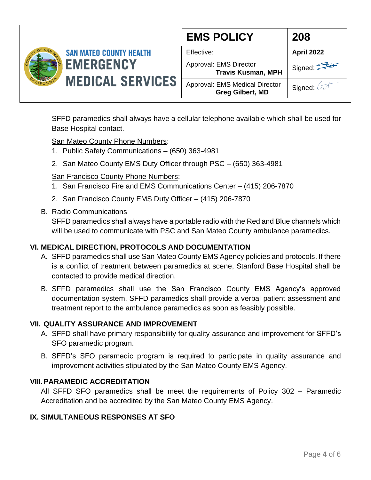

| <b>EMS POLICY</b>                                                | 208        |
|------------------------------------------------------------------|------------|
| Effective:                                                       | April 2022 |
| Approval: EMS Director<br><b>Travis Kusman, MPH</b>              | Signed:    |
| <b>Approval: EMS Medical Director</b><br><b>Greg Gilbert, MD</b> | Signed: 2  |

SFFD paramedics shall always have a cellular telephone available which shall be used for Base Hospital contact.

San Mateo County Phone Numbers:

- 1. Public Safety Communications (650) 363-4981
- 2. San Mateo County EMS Duty Officer through PSC (650) 363-4981

#### San Francisco County Phone Numbers:

- 1. San Francisco Fire and EMS Communications Center (415) 206-7870
- 2. San Francisco County EMS Duty Officer (415) 206-7870
- B. Radio Communications

SFFD paramedics shall always have a portable radio with the Red and Blue channels which will be used to communicate with PSC and San Mateo County ambulance paramedics.

### **VI. MEDICAL DIRECTION, PROTOCOLS AND DOCUMENTATION**

- A. SFFD paramedics shall use San Mateo County EMS Agency policies and protocols. If there is a conflict of treatment between paramedics at scene, Stanford Base Hospital shall be contacted to provide medical direction.
- B. SFFD paramedics shall use the San Francisco County EMS Agency's approved documentation system. SFFD paramedics shall provide a verbal patient assessment and treatment report to the ambulance paramedics as soon as feasibly possible.

#### **VII. QUALITY ASSURANCE AND IMPROVEMENT**

- A. SFFD shall have primary responsibility for quality assurance and improvement for SFFD's SFO paramedic program.
- B. SFFD's SFO paramedic program is required to participate in quality assurance and improvement activities stipulated by the San Mateo County EMS Agency.

### **VIII.PARAMEDIC ACCREDITATION**

All SFFD SFO paramedics shall be meet the requirements of Policy 302 – Paramedic Accreditation and be accredited by the San Mateo County EMS Agency.

### **IX. SIMULTANEOUS RESPONSES AT SFO**